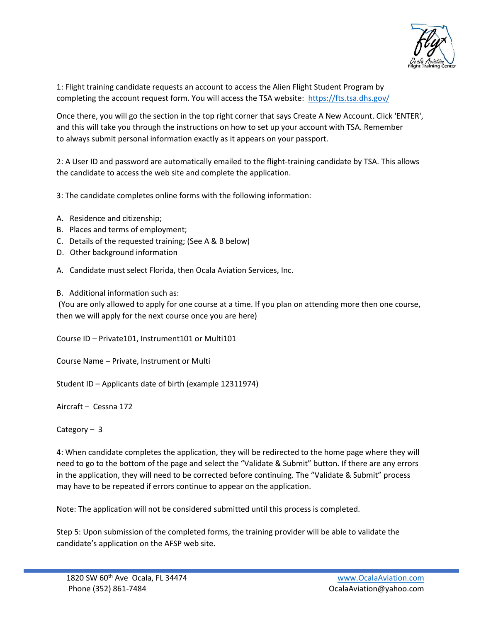

1: Flight training candidate requests an account to access the Alien Flight Student Program by completing the account request form. You will access the TSA website: <https://fts.tsa.dhs.gov/>

Once there, you will go the section in the top right corner that says Create A New Account. Click 'ENTER', and this will take you through the instructions on how to set up your account with TSA. Remember to always submit personal information exactly as it appears on your passport.

2: A User ID and password are automatically emailed to the flight-training candidate by TSA. This allows the candidate to access the web site and complete the application.

3: The candidate completes online forms with the following information:

- A. Residence and citizenship;
- B. Places and terms of employment;
- C. Details of the requested training; (See A & B below)
- D. Other background information
- A. Candidate must select Florida, then Ocala Aviation Services, Inc.
- B. Additional information such as:

(You are only allowed to apply for one course at a time. If you plan on attending more then one course, then we will apply for the next course once you are here)

Course ID – Private101, Instrument101 or Multi101

Course Name – Private, Instrument or Multi

Student ID – Applicants date of birth (example 12311974)

Aircraft – Cessna 172

Category – 3

4: When candidate completes the application, they will be redirected to the home page where they will need to go to the bottom of the page and select the "Validate & Submit" button. If there are any errors in the application, they will need to be corrected before continuing. The "Validate & Submit" process may have to be repeated if errors continue to appear on the application.

Note: The application will not be considered submitted until this process is completed.

Step 5: Upon submission of the completed forms, the training provider will be able to validate the candidate's application on the AFSP web site.